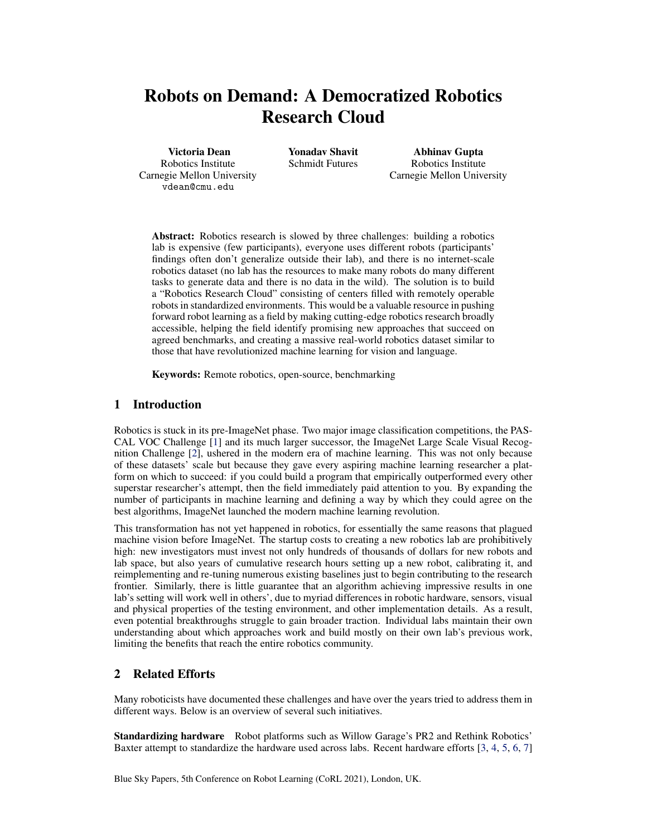# Robots on Demand: A Democratized Robotics Research Cloud

Victoria Dean Robotics Institute Carnegie Mellon University vdean@cmu.edu

Yonadav Shavit Schmidt Futures

Abhinav Gupta Robotics Institute Carnegie Mellon University

Abstract: Robotics research is slowed by three challenges: building a robotics lab is expensive (few participants), everyone uses different robots (participants' findings often don't generalize outside their lab), and there is no internet-scale robotics dataset (no lab has the resources to make many robots do many different tasks to generate data and there is no data in the wild). The solution is to build a "Robotics Research Cloud" consisting of centers filled with remotely operable robots in standardized environments. This would be a valuable resource in pushing forward robot learning as a field by making cutting-edge robotics research broadly accessible, helping the field identify promising new approaches that succeed on agreed benchmarks, and creating a massive real-world robotics dataset similar to those that have revolutionized machine learning for vision and language.

Keywords: Remote robotics, open-source, benchmarking

# 1 Introduction

Robotics is stuck in its pre-ImageNet phase. Two major image classification competitions, the PAS-CAL VOC Challenge [\[1\]](#page-4-0) and its much larger successor, the ImageNet Large Scale Visual Recognition Challenge [\[2\]](#page-4-0), ushered in the modern era of machine learning. This was not only because of these datasets' scale but because they gave every aspiring machine learning researcher a platform on which to succeed: if you could build a program that empirically outperformed every other superstar researcher's attempt, then the field immediately paid attention to you. By expanding the number of participants in machine learning and defining a way by which they could agree on the best algorithms, ImageNet launched the modern machine learning revolution.

This transformation has not yet happened in robotics, for essentially the same reasons that plagued machine vision before ImageNet. The startup costs to creating a new robotics lab are prohibitively high: new investigators must invest not only hundreds of thousands of dollars for new robots and lab space, but also years of cumulative research hours setting up a new robot, calibrating it, and reimplementing and re-tuning numerous existing baselines just to begin contributing to the research frontier. Similarly, there is little guarantee that an algorithm achieving impressive results in one lab's setting will work well in others', due to myriad differences in robotic hardware, sensors, visual and physical properties of the testing environment, and other implementation details. As a result, even potential breakthroughs struggle to gain broader traction. Individual labs maintain their own understanding about which approaches work and build mostly on their own lab's previous work, limiting the benefits that reach the entire robotics community.

# 2 Related Efforts

Many roboticists have documented these challenges and have over the years tried to address them in different ways. Below is an overview of several such initiatives.

Standardizing hardware Robot platforms such as Willow Garage's PR2 and Rethink Robotics' Baxter attempt to standardize the hardware used across labs. Recent hardware efforts [\[3,](#page-4-0) [4,](#page-4-0) [5,](#page-4-0) [6,](#page-4-0) [7\]](#page-4-0)

Blue Sky Papers, 5th Conference on Robot Learning (CoRL 2021), London, UK.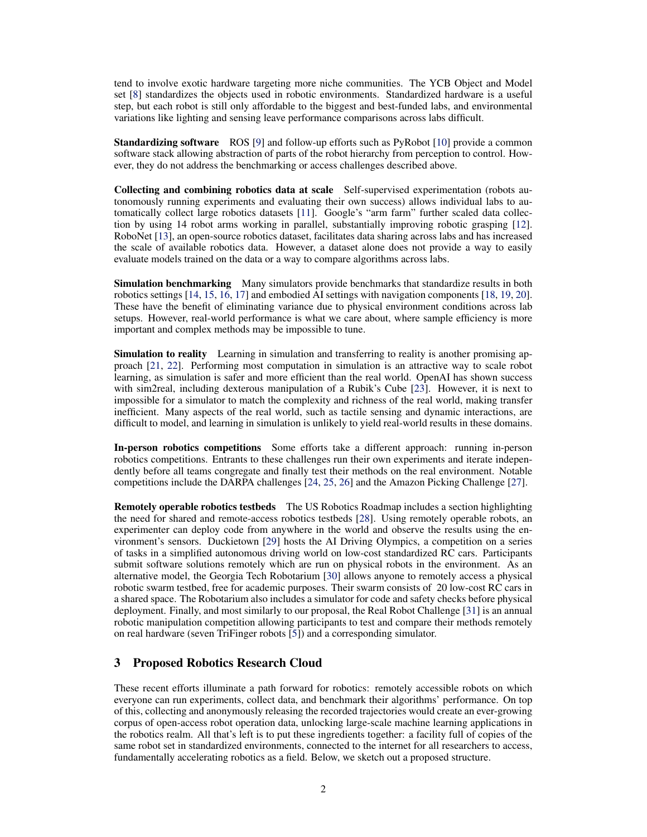tend to involve exotic hardware targeting more niche communities. The YCB Object and Model set [\[8\]](#page-4-0) standardizes the objects used in robotic environments. Standardized hardware is a useful step, but each robot is still only affordable to the biggest and best-funded labs, and environmental variations like lighting and sensing leave performance comparisons across labs difficult.

Standardizing software ROS [\[9\]](#page-4-0) and follow-up efforts such as PyRobot [\[10\]](#page-4-0) provide a common software stack allowing abstraction of parts of the robot hierarchy from perception to control. However, they do not address the benchmarking or access challenges described above.

Collecting and combining robotics data at scale Self-supervised experimentation (robots autonomously running experiments and evaluating their own success) allows individual labs to automatically collect large robotics datasets [\[11\]](#page-4-0). Google's "arm farm" further scaled data collection by using 14 robot arms working in parallel, substantially improving robotic grasping [\[12\]](#page-4-0). RoboNet [\[13\]](#page-4-0), an open-source robotics dataset, facilitates data sharing across labs and has increased the scale of available robotics data. However, a dataset alone does not provide a way to easily evaluate models trained on the data or a way to compare algorithms across labs.

Simulation benchmarking Many simulators provide benchmarks that standardize results in both robotics settings [\[14,](#page-4-0) [15,](#page-4-0) [16,](#page-4-0) [17\]](#page-4-0) and embodied AI settings with navigation components [\[18,](#page-5-0) [19,](#page-5-0) [20\]](#page-5-0). These have the benefit of eliminating variance due to physical environment conditions across lab setups. However, real-world performance is what we care about, where sample efficiency is more important and complex methods may be impossible to tune.

Simulation to reality Learning in simulation and transferring to reality is another promising approach [\[21,](#page-5-0) [22\]](#page-5-0). Performing most computation in simulation is an attractive way to scale robot learning, as simulation is safer and more efficient than the real world. OpenAI has shown success with sim2real, including dexterous manipulation of a Rubik's Cube [\[23\]](#page-5-0). However, it is next to impossible for a simulator to match the complexity and richness of the real world, making transfer inefficient. Many aspects of the real world, such as tactile sensing and dynamic interactions, are difficult to model, and learning in simulation is unlikely to yield real-world results in these domains.

In-person robotics competitions Some efforts take a different approach: running in-person robotics competitions. Entrants to these challenges run their own experiments and iterate independently before all teams congregate and finally test their methods on the real environment. Notable competitions include the DARPA challenges [\[24,](#page-5-0) [25,](#page-5-0) [26\]](#page-5-0) and the Amazon Picking Challenge [\[27\]](#page-5-0).

Remotely operable robotics testbeds The US Robotics Roadmap includes a section highlighting the need for shared and remote-access robotics testbeds [\[28\]](#page-5-0). Using remotely operable robots, an experimenter can deploy code from anywhere in the world and observe the results using the environment's sensors. Duckietown [\[29\]](#page-5-0) hosts the AI Driving Olympics, a competition on a series of tasks in a simplified autonomous driving world on low-cost standardized RC cars. Participants submit software solutions remotely which are run on physical robots in the environment. As an alternative model, the Georgia Tech Robotarium [\[30\]](#page-5-0) allows anyone to remotely access a physical robotic swarm testbed, free for academic purposes. Their swarm consists of 20 low-cost RC cars in a shared space. The Robotarium also includes a simulator for code and safety checks before physical deployment. Finally, and most similarly to our proposal, the Real Robot Challenge [\[31\]](#page-5-0) is an annual robotic manipulation competition allowing participants to test and compare their methods remotely on real hardware (seven TriFinger robots [\[5\]](#page-4-0)) and a corresponding simulator.

# 3 Proposed Robotics Research Cloud

These recent efforts illuminate a path forward for robotics: remotely accessible robots on which everyone can run experiments, collect data, and benchmark their algorithms' performance. On top of this, collecting and anonymously releasing the recorded trajectories would create an ever-growing corpus of open-access robot operation data, unlocking large-scale machine learning applications in the robotics realm. All that's left is to put these ingredients together: a facility full of copies of the same robot set in standardized environments, connected to the internet for all researchers to access, fundamentally accelerating robotics as a field. Below, we sketch out a proposed structure.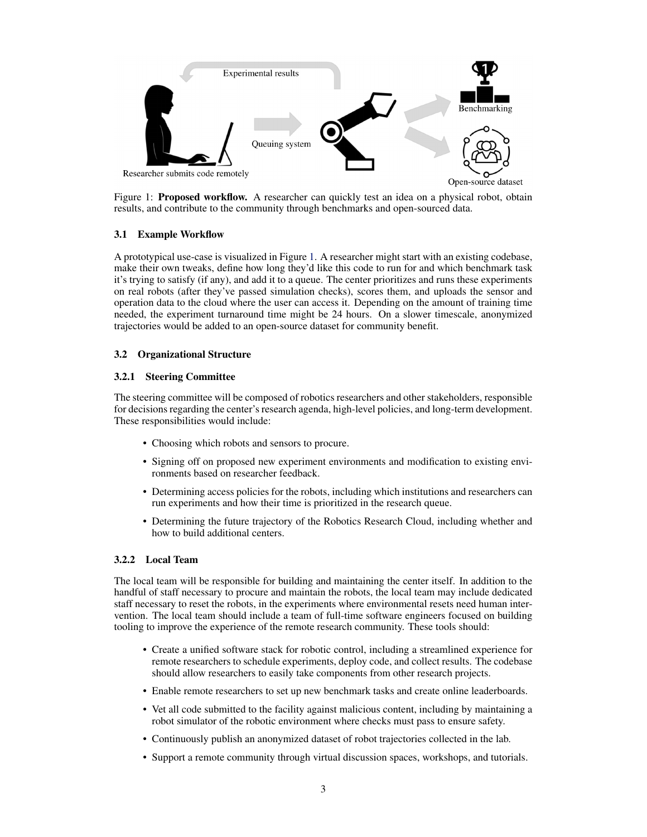

Figure 1: Proposed workflow. A researcher can quickly test an idea on a physical robot, obtain results, and contribute to the community through benchmarks and open-sourced data.

## 3.1 Example Workflow

A prototypical use-case is visualized in Figure 1. A researcher might start with an existing codebase, make their own tweaks, define how long they'd like this code to run for and which benchmark task it's trying to satisfy (if any), and add it to a queue. The center prioritizes and runs these experiments on real robots (after they've passed simulation checks), scores them, and uploads the sensor and operation data to the cloud where the user can access it. Depending on the amount of training time needed, the experiment turnaround time might be 24 hours. On a slower timescale, anonymized trajectories would be added to an open-source dataset for community benefit.

## 3.2 Organizational Structure

#### 3.2.1 Steering Committee

The steering committee will be composed of robotics researchers and other stakeholders, responsible for decisions regarding the center's research agenda, high-level policies, and long-term development. These responsibilities would include:

- Choosing which robots and sensors to procure.
- Signing off on proposed new experiment environments and modification to existing environments based on researcher feedback.
- Determining access policies for the robots, including which institutions and researchers can run experiments and how their time is prioritized in the research queue.
- Determining the future trajectory of the Robotics Research Cloud, including whether and how to build additional centers.

#### 3.2.2 Local Team

The local team will be responsible for building and maintaining the center itself. In addition to the handful of staff necessary to procure and maintain the robots, the local team may include dedicated staff necessary to reset the robots, in the experiments where environmental resets need human intervention. The local team should include a team of full-time software engineers focused on building tooling to improve the experience of the remote research community. These tools should:

- Create a unified software stack for robotic control, including a streamlined experience for remote researchers to schedule experiments, deploy code, and collect results. The codebase should allow researchers to easily take components from other research projects.
- Enable remote researchers to set up new benchmark tasks and create online leaderboards.
- Vet all code submitted to the facility against malicious content, including by maintaining a robot simulator of the robotic environment where checks must pass to ensure safety.
- Continuously publish an anonymized dataset of robot trajectories collected in the lab.
- Support a remote community through virtual discussion spaces, workshops, and tutorials.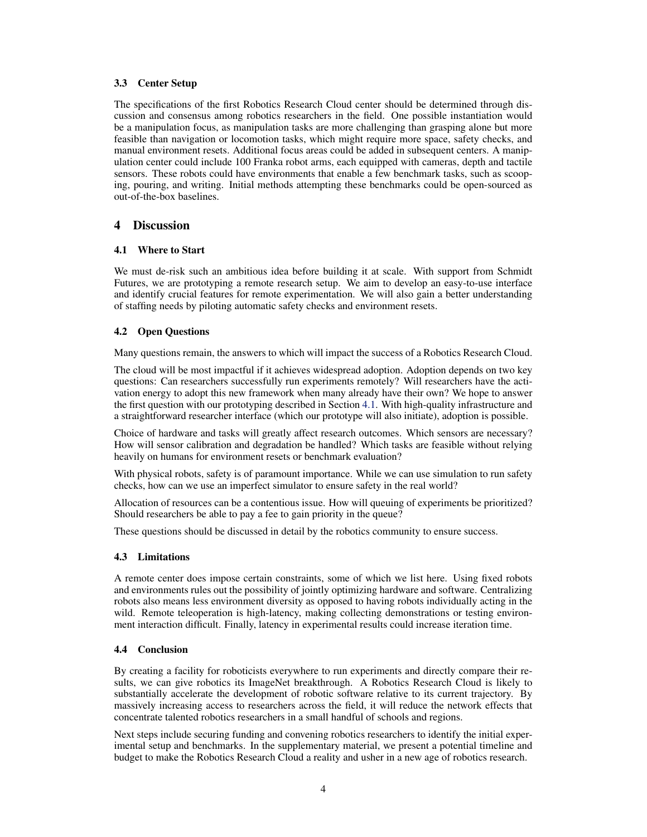#### 3.3 Center Setup

The specifications of the first Robotics Research Cloud center should be determined through discussion and consensus among robotics researchers in the field. One possible instantiation would be a manipulation focus, as manipulation tasks are more challenging than grasping alone but more feasible than navigation or locomotion tasks, which might require more space, safety checks, and manual environment resets. Additional focus areas could be added in subsequent centers. A manipulation center could include 100 Franka robot arms, each equipped with cameras, depth and tactile sensors. These robots could have environments that enable a few benchmark tasks, such as scooping, pouring, and writing. Initial methods attempting these benchmarks could be open-sourced as out-of-the-box baselines.

## 4 Discussion

#### 4.1 Where to Start

We must de-risk such an ambitious idea before building it at scale. With support from Schmidt Futures, we are prototyping a remote research setup. We aim to develop an easy-to-use interface and identify crucial features for remote experimentation. We will also gain a better understanding of staffing needs by piloting automatic safety checks and environment resets.

#### 4.2 Open Questions

Many questions remain, the answers to which will impact the success of a Robotics Research Cloud.

The cloud will be most impactful if it achieves widespread adoption. Adoption depends on two key questions: Can researchers successfully run experiments remotely? Will researchers have the activation energy to adopt this new framework when many already have their own? We hope to answer the first question with our prototyping described in Section 4.1. With high-quality infrastructure and a straightforward researcher interface (which our prototype will also initiate), adoption is possible.

Choice of hardware and tasks will greatly affect research outcomes. Which sensors are necessary? How will sensor calibration and degradation be handled? Which tasks are feasible without relying heavily on humans for environment resets or benchmark evaluation?

With physical robots, safety is of paramount importance. While we can use simulation to run safety checks, how can we use an imperfect simulator to ensure safety in the real world?

Allocation of resources can be a contentious issue. How will queuing of experiments be prioritized? Should researchers be able to pay a fee to gain priority in the queue?

These questions should be discussed in detail by the robotics community to ensure success.

#### 4.3 Limitations

A remote center does impose certain constraints, some of which we list here. Using fixed robots and environments rules out the possibility of jointly optimizing hardware and software. Centralizing robots also means less environment diversity as opposed to having robots individually acting in the wild. Remote teleoperation is high-latency, making collecting demonstrations or testing environment interaction difficult. Finally, latency in experimental results could increase iteration time.

#### 4.4 Conclusion

By creating a facility for roboticists everywhere to run experiments and directly compare their results, we can give robotics its ImageNet breakthrough. A Robotics Research Cloud is likely to substantially accelerate the development of robotic software relative to its current trajectory. By massively increasing access to researchers across the field, it will reduce the network effects that concentrate talented robotics researchers in a small handful of schools and regions.

Next steps include securing funding and convening robotics researchers to identify the initial experimental setup and benchmarks. In the supplementary material, we present a potential timeline and budget to make the Robotics Research Cloud a reality and usher in a new age of robotics research.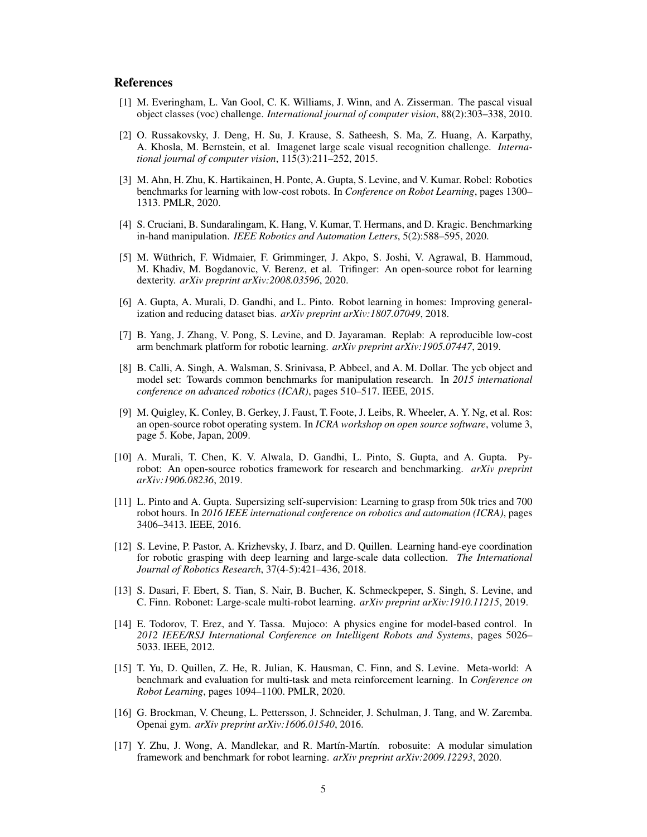# <span id="page-4-0"></span>**References**

- [1] M. Everingham, L. Van Gool, C. K. Williams, J. Winn, and A. Zisserman. The pascal visual object classes (voc) challenge. *International journal of computer vision*, 88(2):303–338, 2010.
- [2] O. Russakovsky, J. Deng, H. Su, J. Krause, S. Satheesh, S. Ma, Z. Huang, A. Karpathy, A. Khosla, M. Bernstein, et al. Imagenet large scale visual recognition challenge. *International journal of computer vision*, 115(3):211–252, 2015.
- [3] M. Ahn, H. Zhu, K. Hartikainen, H. Ponte, A. Gupta, S. Levine, and V. Kumar. Robel: Robotics benchmarks for learning with low-cost robots. In *Conference on Robot Learning*, pages 1300– 1313. PMLR, 2020.
- [4] S. Cruciani, B. Sundaralingam, K. Hang, V. Kumar, T. Hermans, and D. Kragic. Benchmarking in-hand manipulation. *IEEE Robotics and Automation Letters*, 5(2):588–595, 2020.
- [5] M. Wuthrich, F. Widmaier, F. Grimminger, J. Akpo, S. Joshi, V. Agrawal, B. Hammoud, ¨ M. Khadiv, M. Bogdanovic, V. Berenz, et al. Trifinger: An open-source robot for learning dexterity. *arXiv preprint arXiv:2008.03596*, 2020.
- [6] A. Gupta, A. Murali, D. Gandhi, and L. Pinto. Robot learning in homes: Improving generalization and reducing dataset bias. *arXiv preprint arXiv:1807.07049*, 2018.
- [7] B. Yang, J. Zhang, V. Pong, S. Levine, and D. Jayaraman. Replab: A reproducible low-cost arm benchmark platform for robotic learning. *arXiv preprint arXiv:1905.07447*, 2019.
- [8] B. Calli, A. Singh, A. Walsman, S. Srinivasa, P. Abbeel, and A. M. Dollar. The ycb object and model set: Towards common benchmarks for manipulation research. In *2015 international conference on advanced robotics (ICAR)*, pages 510–517. IEEE, 2015.
- [9] M. Quigley, K. Conley, B. Gerkey, J. Faust, T. Foote, J. Leibs, R. Wheeler, A. Y. Ng, et al. Ros: an open-source robot operating system. In *ICRA workshop on open source software*, volume 3, page 5. Kobe, Japan, 2009.
- [10] A. Murali, T. Chen, K. V. Alwala, D. Gandhi, L. Pinto, S. Gupta, and A. Gupta. Pyrobot: An open-source robotics framework for research and benchmarking. *arXiv preprint arXiv:1906.08236*, 2019.
- [11] L. Pinto and A. Gupta. Supersizing self-supervision: Learning to grasp from 50k tries and 700 robot hours. In *2016 IEEE international conference on robotics and automation (ICRA)*, pages 3406–3413. IEEE, 2016.
- [12] S. Levine, P. Pastor, A. Krizhevsky, J. Ibarz, and D. Quillen. Learning hand-eye coordination for robotic grasping with deep learning and large-scale data collection. *The International Journal of Robotics Research*, 37(4-5):421–436, 2018.
- [13] S. Dasari, F. Ebert, S. Tian, S. Nair, B. Bucher, K. Schmeckpeper, S. Singh, S. Levine, and C. Finn. Robonet: Large-scale multi-robot learning. *arXiv preprint arXiv:1910.11215*, 2019.
- [14] E. Todorov, T. Erez, and Y. Tassa. Mujoco: A physics engine for model-based control. In *2012 IEEE/RSJ International Conference on Intelligent Robots and Systems*, pages 5026– 5033. IEEE, 2012.
- [15] T. Yu, D. Quillen, Z. He, R. Julian, K. Hausman, C. Finn, and S. Levine. Meta-world: A benchmark and evaluation for multi-task and meta reinforcement learning. In *Conference on Robot Learning*, pages 1094–1100. PMLR, 2020.
- [16] G. Brockman, V. Cheung, L. Pettersson, J. Schneider, J. Schulman, J. Tang, and W. Zaremba. Openai gym. *arXiv preprint arXiv:1606.01540*, 2016.
- [17] Y. Zhu, J. Wong, A. Mandlekar, and R. Martín-Martín. robosuite: A modular simulation framework and benchmark for robot learning. *arXiv preprint arXiv:2009.12293*, 2020.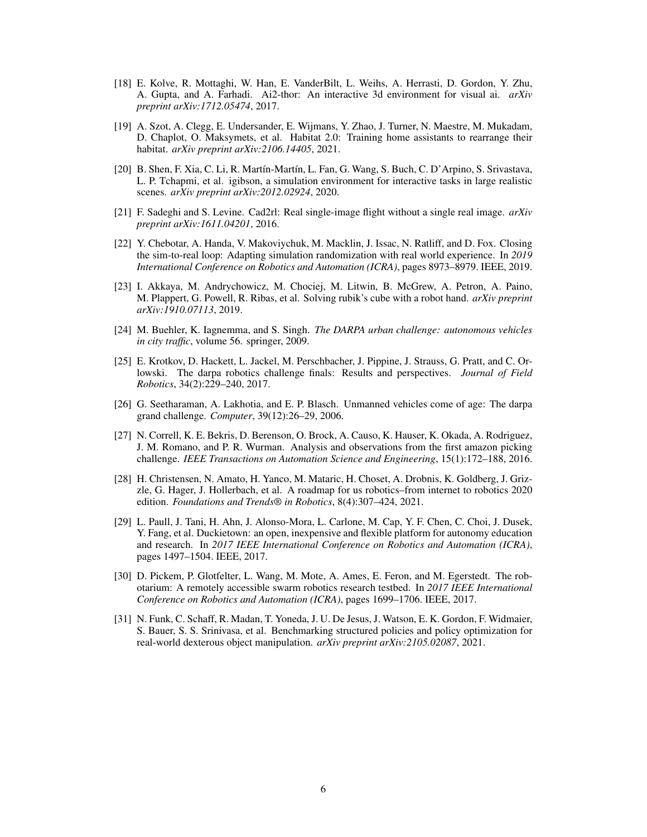- <span id="page-5-0"></span>[18] E. Kolve, R. Mottaghi, W. Han, E. VanderBilt, L. Weihs, A. Herrasti, D. Gordon, Y. Zhu, A. Gupta, and A. Farhadi. Ai2-thor: An interactive 3d environment for visual ai. *arXiv preprint arXiv:1712.05474*, 2017.
- [19] A. Szot, A. Clegg, E. Undersander, E. Wijmans, Y. Zhao, J. Turner, N. Maestre, M. Mukadam, D. Chaplot, O. Maksymets, et al. Habitat 2.0: Training home assistants to rearrange their habitat. *arXiv preprint arXiv:2106.14405*, 2021.
- [20] B. Shen, F. Xia, C. Li, R. Mart´ın-Mart´ın, L. Fan, G. Wang, S. Buch, C. D'Arpino, S. Srivastava, L. P. Tchapmi, et al. igibson, a simulation environment for interactive tasks in large realistic scenes. *arXiv preprint arXiv:2012.02924*, 2020.
- [21] F. Sadeghi and S. Levine. Cad2rl: Real single-image flight without a single real image. *arXiv preprint arXiv:1611.04201*, 2016.
- [22] Y. Chebotar, A. Handa, V. Makoviychuk, M. Macklin, J. Issac, N. Ratliff, and D. Fox. Closing the sim-to-real loop: Adapting simulation randomization with real world experience. In *2019 International Conference on Robotics and Automation (ICRA)*, pages 8973–8979. IEEE, 2019.
- [23] I. Akkaya, M. Andrychowicz, M. Chociej, M. Litwin, B. McGrew, A. Petron, A. Paino, M. Plappert, G. Powell, R. Ribas, et al. Solving rubik's cube with a robot hand. *arXiv preprint arXiv:1910.07113*, 2019.
- [24] M. Buehler, K. Iagnemma, and S. Singh. *The DARPA urban challenge: autonomous vehicles in city traffic*, volume 56. springer, 2009.
- [25] E. Krotkov, D. Hackett, L. Jackel, M. Perschbacher, J. Pippine, J. Strauss, G. Pratt, and C. Orlowski. The darpa robotics challenge finals: Results and perspectives. *Journal of Field Robotics*, 34(2):229–240, 2017.
- [26] G. Seetharaman, A. Lakhotia, and E. P. Blasch. Unmanned vehicles come of age: The darpa grand challenge. *Computer*, 39(12):26–29, 2006.
- [27] N. Correll, K. E. Bekris, D. Berenson, O. Brock, A. Causo, K. Hauser, K. Okada, A. Rodriguez, J. M. Romano, and P. R. Wurman. Analysis and observations from the first amazon picking challenge. *IEEE Transactions on Automation Science and Engineering*, 15(1):172–188, 2016.
- [28] H. Christensen, N. Amato, H. Yanco, M. Mataric, H. Choset, A. Drobnis, K. Goldberg, J. Grizzle, G. Hager, J. Hollerbach, et al. A roadmap for us robotics–from internet to robotics 2020 edition. *Foundations and Trends® in Robotics*, 8(4):307–424, 2021.
- [29] L. Paull, J. Tani, H. Ahn, J. Alonso-Mora, L. Carlone, M. Cap, Y. F. Chen, C. Choi, J. Dusek, Y. Fang, et al. Duckietown: an open, inexpensive and flexible platform for autonomy education and research. In *2017 IEEE International Conference on Robotics and Automation (ICRA)*, pages 1497–1504. IEEE, 2017.
- [30] D. Pickem, P. Glotfelter, L. Wang, M. Mote, A. Ames, E. Feron, and M. Egerstedt. The robotarium: A remotely accessible swarm robotics research testbed. In *2017 IEEE International Conference on Robotics and Automation (ICRA)*, pages 1699–1706. IEEE, 2017.
- [31] N. Funk, C. Schaff, R. Madan, T. Yoneda, J. U. De Jesus, J. Watson, E. K. Gordon, F. Widmaier, S. Bauer, S. S. Srinivasa, et al. Benchmarking structured policies and policy optimization for real-world dexterous object manipulation. *arXiv preprint arXiv:2105.02087*, 2021.